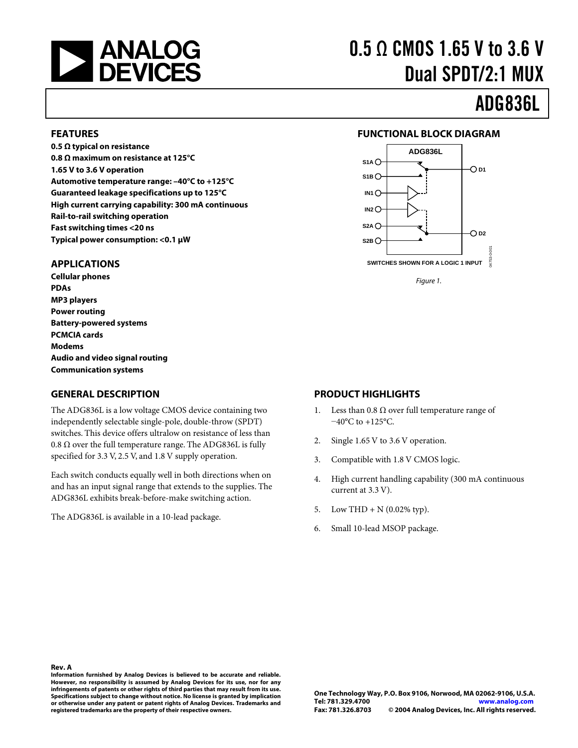

# 0.5 Ω CMOS 1.65 V to 3.6 V Dual SPDT/2:1 MUX

## ADG836L

#### **FEATURES**

**0.5 Ω typical on resistance 0.8 Ω maximum on resistance at 125°C 1.65 V to 3.6 V operation Automotive temperature range: –40°C to +125°C Guaranteed leakage specifications up to 125°C High current carrying capability: 300 mA continuous Rail-to-rail switching operation Fast switching times <20 ns Typical power consumption: <0.1 µW** 

#### **APPLICATIONS**

**Cellular phones PDAs MP3 players Power routing Battery-powered systems PCMCIA cards Modems Audio and video signal routing Communication systems** 

#### **GENERAL DESCRIPTION**

The ADG836L is a low voltage CMOS device containing two independently selectable single-pole, double-throw (SPDT) switches. This device offers ultralow on resistance of less than 0.8  $Ω$  over the full temperature range. The ADG836L is fully specified for 3.3 V, 2.5 V, and 1.8 V supply operation.

Each switch conducts equally well in both directions when on and has an input signal range that extends to the supplies. The ADG836L exhibits break-before-make switching action.

The ADG836L is available in a 10-lead package.

#### **FUNCTIONAL BLOCK DIAGRAM**



Figure 1.

#### **PRODUCT HIGHLIGHTS**

- 1. Less than 0.8  $\Omega$  over full temperature range of −40°C to +125°C.
- 2. Single 1.65 V to 3.6 V operation.
- 3. Compatible with 1.8 V CMOS logic.
- 4. High current handling capability (300 mA continuous current at 3.3 V).
- 5. Low THD + N  $(0.02\% \text{ typ})$ .
- 6. Small 10-lead MSOP package.

#### **Rev. A**

**Information furnished by Analog Devices is believed to be accurate and reliable. However, no responsibility is assumed by Analog Devices for its use, nor for any infringements of patents or other rights of third parties that may result from its use. Specifications subject to change without notice. No license is granted by implication or otherwise under any patent or patent rights of Analog Devices. Trademarks and registered trademarks are the property of their respective owners.**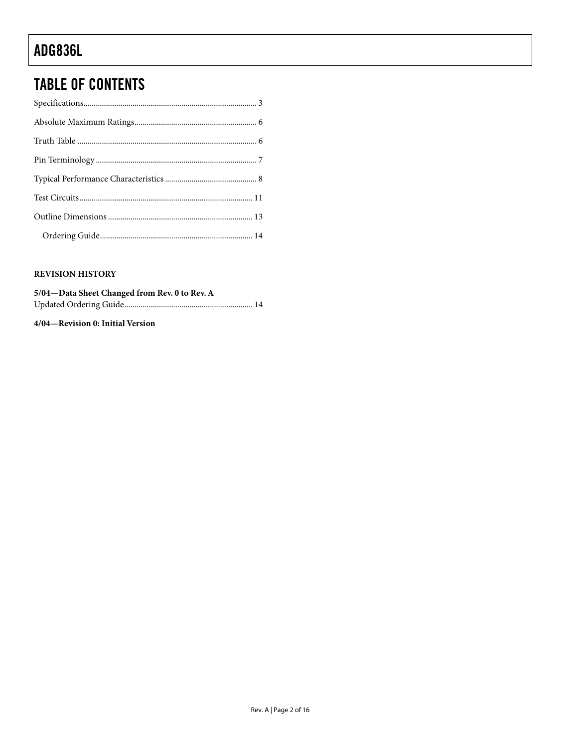### **TABLE OF CONTENTS**

#### **REVISION HISTORY**

| 5/04—Data Sheet Changed from Rev. 0 to Rev. A |  |
|-----------------------------------------------|--|
|                                               |  |

#### 4/04-Revision 0: Initial Version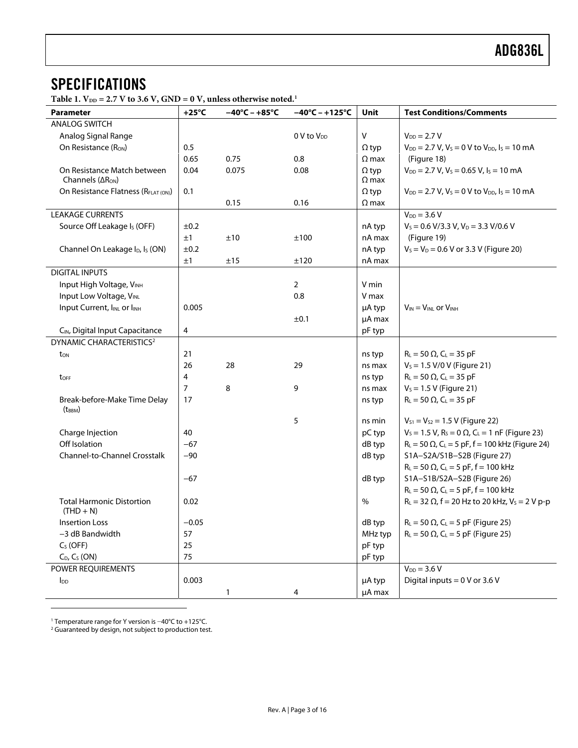#### <span id="page-2-0"></span>**SPECIFICATIONS**

Table 1.  $V_{DD} = 2.7 V$  to 3.6 V, GND = 0 V, unless otherwise noted.<sup>1</sup>

| Parameter                                               | $+25^{\circ}$ C | $\sigma$ , $\sigma$ , $\sigma$ , $\sigma$ , $\sigma$ , $\sigma$ , $\sigma$ , $\sigma$ , $\sigma$ , $\sigma$<br>$-40^{\circ}$ C – +85 $^{\circ}$ C | $-40^{\circ}$ C – +125 $^{\circ}$ C | Unit         | <b>Test Conditions/Comments</b>                                        |
|---------------------------------------------------------|-----------------|---------------------------------------------------------------------------------------------------------------------------------------------------|-------------------------------------|--------------|------------------------------------------------------------------------|
| <b>ANALOG SWITCH</b>                                    |                 |                                                                                                                                                   |                                     |              |                                                                        |
| Analog Signal Range                                     |                 |                                                                                                                                                   | 0 V to V <sub>DD</sub>              | V            | $V_{DD} = 2.7 V$                                                       |
| On Resistance (R <sub>ON</sub> )                        | 0.5             |                                                                                                                                                   |                                     | $\Omega$ typ | $V_{DD} = 2.7 V, V_s = 0 V to V_{DD}$ , $I_s = 10 mA$                  |
|                                                         | 0.65            | 0.75                                                                                                                                              | 0.8                                 | $\Omega$ max | (Figure 18)                                                            |
| On Resistance Match between                             | 0.04            | 0.075                                                                                                                                             | 0.08                                | $\Omega$ typ | $V_{DD} = 2.7 V, V_s = 0.65 V, I_s = 10 mA$                            |
| Channels $( \Delta R_{ON} )$                            |                 |                                                                                                                                                   |                                     | $\Omega$ max |                                                                        |
| On Resistance Flatness (RFLAT (ON))                     | 0.1             |                                                                                                                                                   |                                     | $\Omega$ typ | $V_{DD} = 2.7 V, V_s = 0 V$ to $V_{DD}$ , $I_s = 10$ mA                |
|                                                         |                 | 0.15                                                                                                                                              | 0.16                                | $\Omega$ max |                                                                        |
| <b>LEAKAGE CURRENTS</b>                                 |                 |                                                                                                                                                   |                                     |              | $V_{DD} = 3.6 V$                                                       |
| Source Off Leakage I <sub>s</sub> (OFF)                 | ±0.2            |                                                                                                                                                   |                                     | nA typ       | $V_s = 0.6 \text{ V}/3.3 \text{ V}, V_D = 3.3 \text{ V}/0.6 \text{ V}$ |
|                                                         | ±1              | ±10                                                                                                                                               | ±100                                | nA max       | (Figure 19)                                                            |
| Channel On Leakage I <sub>D</sub> , I <sub>S</sub> (ON) | ±0.2            |                                                                                                                                                   |                                     | nA typ       | $V_s = V_D = 0.6 V$ or 3.3 V (Figure 20)                               |
|                                                         | ±1              | ±15                                                                                                                                               | ±120                                | nA max       |                                                                        |
| <b>DIGITAL INPUTS</b>                                   |                 |                                                                                                                                                   |                                     |              |                                                                        |
| Input High Voltage, VINH                                |                 |                                                                                                                                                   | $\overline{2}$                      | V min        |                                                                        |
| Input Low Voltage, VINL                                 |                 |                                                                                                                                                   | 0.8                                 | V max        |                                                                        |
| Input Current, IINL or IINH                             | 0.005           |                                                                                                                                                   |                                     | µA typ       | $V_{IN} = V_{INL}$ or $V_{INH}$                                        |
|                                                         |                 |                                                                                                                                                   | ±0.1                                | µA max       |                                                                        |
| CIN, Digital Input Capacitance                          | 4               |                                                                                                                                                   |                                     | pF typ       |                                                                        |
| DYNAMIC CHARACTERISTICS <sup>2</sup>                    |                 |                                                                                                                                                   |                                     |              |                                                                        |
| ton                                                     | 21              |                                                                                                                                                   |                                     | ns typ       | $R_L = 50 \Omega$ , C <sub>L</sub> = 35 pF                             |
|                                                         | 26              | 28                                                                                                                                                | 29                                  | ns max       | $V_s = 1.5$ V/0 V (Figure 21)                                          |
| toff                                                    | 4               |                                                                                                                                                   |                                     | ns typ       | $R_L = 50 \Omega$ , C <sub>L</sub> = 35 pF                             |
|                                                         | $\overline{7}$  | 8                                                                                                                                                 | 9                                   | ns max       | $V_s = 1.5 V$ (Figure 21)                                              |
| Break-before-Make Time Delay<br>$(t_{BBM})$             | 17              |                                                                                                                                                   |                                     | ns typ       | $R_{L} = 50 \Omega$ , C <sub>L</sub> = 35 pF                           |
|                                                         |                 |                                                                                                                                                   | 5                                   | ns min       | $V_{S1} = V_{S2} = 1.5 V$ (Figure 22)                                  |
| Charge Injection                                        | 40              |                                                                                                                                                   |                                     | pC typ       | $V_s = 1.5 V$ , $R_s = 0 \Omega$ , $C_l = 1$ nF (Figure 23)            |
| Off Isolation                                           | $-67$           |                                                                                                                                                   |                                     | dB typ       | $R_L = 50 \Omega$ , C <sub>L</sub> = 5 pF, f = 100 kHz (Figure 24)     |
| Channel-to-Channel Crosstalk                            | $-90$           |                                                                                                                                                   |                                     | dB typ       | S1A-S2A/S1B-S2B (Figure 27)                                            |
|                                                         |                 |                                                                                                                                                   |                                     |              | $R_L = 50 \Omega$ , C <sub>L</sub> = 5 pF, f = 100 kHz                 |
|                                                         | $-67$           |                                                                                                                                                   |                                     | dB typ       | S1A-S1B/S2A-S2B (Figure 26)                                            |
|                                                         |                 |                                                                                                                                                   |                                     |              | $R_L = 50 \Omega$ , C <sub>L</sub> = 5 pF, f = 100 kHz                 |
| <b>Total Harmonic Distortion</b><br>$(THD + N)$         | 0.02            |                                                                                                                                                   |                                     | $\%$         | $R_L = 32 \Omega$ , f = 20 Hz to 20 kHz, V <sub>s</sub> = 2 V p-p      |
| <b>Insertion Loss</b>                                   | $-0.05$         |                                                                                                                                                   |                                     | dB typ       | $R_L$ = 50 $\Omega$ , C <sub>L</sub> = 5 pF (Figure 25)                |
| -3 dB Bandwidth                                         | 57              |                                                                                                                                                   |                                     | MHz typ      | $R_L$ = 50 $\Omega$ , C <sub>L</sub> = 5 pF (Figure 25)                |
| $CS$ (OFF)                                              | 25              |                                                                                                                                                   |                                     | pF typ       |                                                                        |
| $C_D$ , $C_S$ (ON)                                      | 75              |                                                                                                                                                   |                                     | pF typ       |                                                                        |
| POWER REQUIREMENTS                                      |                 |                                                                                                                                                   |                                     |              | $V_{DD} = 3.6 V$                                                       |
| $I_{DD}$                                                | 0.003           |                                                                                                                                                   |                                     | µA typ       | Digital inputs = $0$ V or 3.6 V                                        |
|                                                         |                 | 1                                                                                                                                                 | 4                                   | µA max       |                                                                        |

 $\overline{a}$ 

<span id="page-2-1"></span>1 Temperature range for Y version is <sup>−</sup>40°C to +125°C. 2 Guaranteed by design, not subject to production test.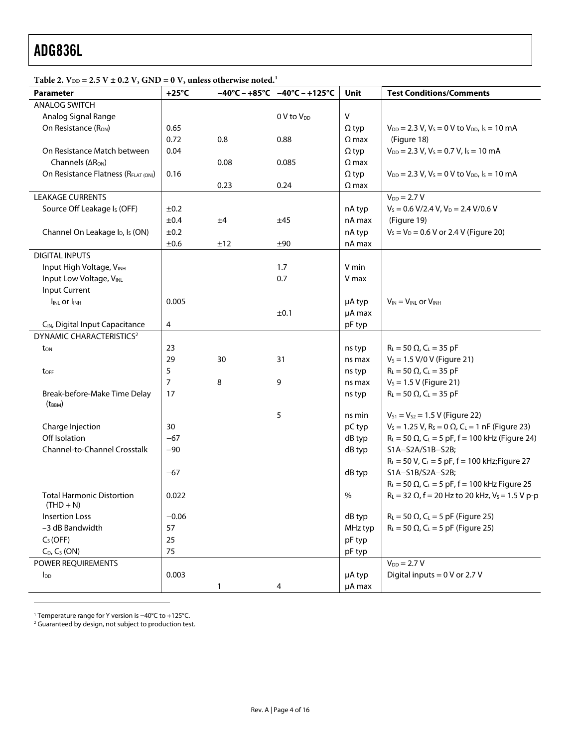| Parameter                                               | $+25^{\circ}$ C |      | $-40^{\circ}$ C – +85°C –40°C – +125°C | Unit         | <b>Test Conditions/Comments</b>                                                 |
|---------------------------------------------------------|-----------------|------|----------------------------------------|--------------|---------------------------------------------------------------------------------|
| <b>ANALOG SWITCH</b>                                    |                 |      |                                        |              |                                                                                 |
| Analog Signal Range                                     |                 |      | 0 V to V <sub>DD</sub>                 | V            |                                                                                 |
| On Resistance (R <sub>ON</sub> )                        | 0.65            |      |                                        | $\Omega$ typ | $V_{DD} = 2.3 V, V_s = 0 V$ to $V_{DD}$ , $I_s = 10 mA$                         |
|                                                         | 0.72            | 0.8  | 0.88                                   | $\Omega$ max | (Figure 18)                                                                     |
| On Resistance Match between                             | 0.04            |      |                                        | $\Omega$ typ | $V_{DD} = 2.3 V, V_s = 0.7 V, I_s = 10 mA$                                      |
| Channels (ARON)                                         |                 | 0.08 | 0.085                                  | $\Omega$ max |                                                                                 |
| On Resistance Flatness (RFLAT (ON))                     | 0.16            |      |                                        | $\Omega$ typ | $V_{DD} = 2.3 V, V_s = 0 V$ to $V_{DD}$ , $I_s = 10 mA$                         |
|                                                         |                 | 0.23 | 0.24                                   | $\Omega$ max |                                                                                 |
| <b>LEAKAGE CURRENTS</b>                                 |                 |      |                                        |              | $V_{DD} = 2.7 V$                                                                |
| Source Off Leakage I <sub>s</sub> (OFF)                 | ±0.2            |      |                                        | nA typ       | $V_s$ = 0.6 V/2.4 V, V <sub>D</sub> = 2.4 V/0.6 V                               |
|                                                         | ±0.4            | ±4   | ±45                                    | nA max       | (Figure 19)                                                                     |
| Channel On Leakage I <sub>D</sub> , I <sub>S</sub> (ON) | ±0.2            |      |                                        | nA typ       | $V_s = V_D = 0.6 V$ or 2.4 V (Figure 20)                                        |
|                                                         | ±0.6            | ±12  | ±90                                    | nA max       |                                                                                 |
| <b>DIGITAL INPUTS</b>                                   |                 |      |                                        |              |                                                                                 |
| Input High Voltage, VINH                                |                 |      | 1.7                                    | V min        |                                                                                 |
| Input Low Voltage, VINL                                 |                 |      | 0.7                                    | V max        |                                                                                 |
| Input Current                                           |                 |      |                                        |              |                                                                                 |
| I <sub>INL</sub> or I <sub>INH</sub>                    | 0.005           |      |                                        | µA typ       | $V_{IN} = V_{INL}$ or $V_{INH}$                                                 |
|                                                         |                 |      | ±0.1                                   | µA max       |                                                                                 |
| CIN, Digital Input Capacitance                          | $\overline{4}$  |      |                                        | pF typ       |                                                                                 |
| DYNAMIC CHARACTERISTICS <sup>2</sup>                    |                 |      |                                        |              |                                                                                 |
| ton                                                     | 23              |      |                                        | ns typ       | $R_L = 50 \Omega$ , $C_L = 35 pF$                                               |
|                                                         | 29              | 30   | 31                                     | ns max       | $V_s = 1.5$ V/0 V (Figure 21)                                                   |
| toff                                                    | 5               |      |                                        | ns typ       | $R_{L} = 50 \Omega$ , C <sub>L</sub> = 35 pF                                    |
|                                                         | 7               | 8    | 9                                      | ns max       | $V_s = 1.5 V$ (Figure 21)                                                       |
| Break-before-Make Time Delay                            | 17              |      |                                        | ns typ       | $R_{L} = 50 \Omega$ , C <sub>L</sub> = 35 pF                                    |
| $(t_{BBM})$                                             |                 |      |                                        |              |                                                                                 |
|                                                         |                 |      | 5                                      | ns min       | $V_{S1} = V_{S2} = 1.5 V$ (Figure 22)                                           |
| Charge Injection                                        | 30              |      |                                        | pC typ       | $V_s = 1.25$ V, R <sub>s</sub> = 0 $\Omega$ , C <sub>L</sub> = 1 nF (Figure 23) |
| Off Isolation                                           | $-67$           |      |                                        | dB typ       | $R_L = 50 \Omega$ , C <sub>L</sub> = 5 pF, f = 100 kHz (Figure 24)              |
| Channel-to-Channel Crosstalk                            | $-90$           |      |                                        | dB typ       | S1A-S2A/S1B-S2B;                                                                |
|                                                         |                 |      |                                        |              | $R_L = 50 V$ , C <sub>L</sub> = 5 pF, f = 100 kHz; Figure 27                    |
|                                                         | $-67$           |      |                                        | dB typ       | S1A-S1B/S2A-S2B;                                                                |
|                                                         |                 |      |                                        |              | $R_L = 50 \Omega$ , C <sub>L</sub> = 5 pF, f = 100 kHz Figure 25                |
| <b>Total Harmonic Distortion</b><br>$(THD + N)$         | 0.022           |      |                                        | %            | $R_L = 32 \Omega$ , f = 20 Hz to 20 kHz, V <sub>s</sub> = 1.5 V p-p             |
| <b>Insertion Loss</b>                                   | $-0.06$         |      |                                        | dB typ       | $R_L$ = 50 $\Omega$ , C <sub>L</sub> = 5 pF (Figure 25)                         |
| -3 dB Bandwidth                                         | 57              |      |                                        | MHz typ      | $R_L$ = 50 $\Omega$ , C <sub>L</sub> = 5 pF (Figure 25)                         |
| $C_S(OFF)$                                              | 25              |      |                                        | pF typ       |                                                                                 |
| $C_D$ , $C_S$ (ON)                                      | 75              |      |                                        | pF typ       |                                                                                 |
| POWER REQUIREMENTS                                      |                 |      |                                        |              | $V_{DD} = 2.7 V$                                                                |
| $I_{DD}$                                                | 0.003           |      |                                        | µA typ       | Digital inputs = $0$ V or 2.7 V                                                 |
|                                                         |                 | 1    | 4                                      | µA max       |                                                                                 |

Table 2.  $V_{DD} = 2.5 V \pm 0.2 V$ , GND = 0 V, unless otherwise noted.<sup>[1](#page-3-0)</sup>

<span id="page-3-0"></span>

1

<span id="page-3-1"></span>1 Temperature range for Y version is <sup>−</sup>40°C to +125°C. 2 Guaranteed by design, not subject to production test.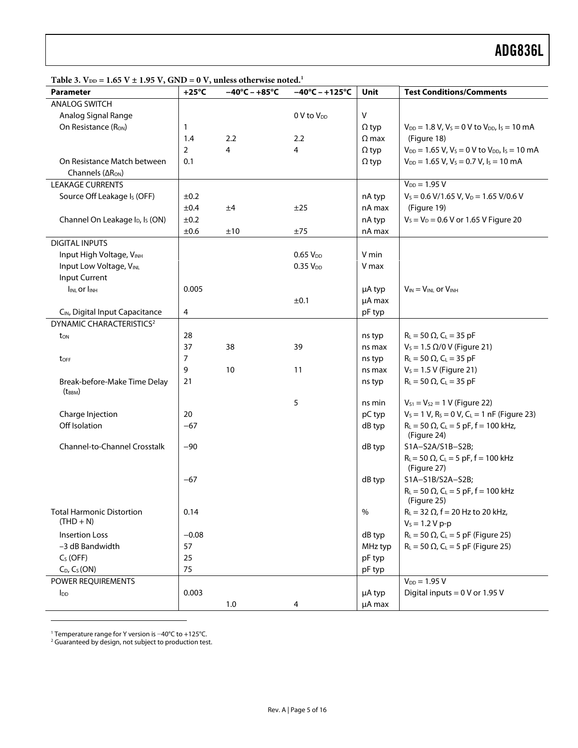| Table 3. $V_{DD} = 1.65 V \pm 1.95 V$ , GND = 0 V, unless otherwise noted. <sup>1</sup> |
|-----------------------------------------------------------------------------------------|
|-----------------------------------------------------------------------------------------|

| <b>Table 5.</b> The $\rightarrow$ 1.05 $\rightarrow$ $\pm$ 1.55 $\rightarrow$ $\rightarrow$ 0.11D $\rightarrow$ 0.3, united with the notion.<br>Parameter | $+25^{\circ}$ C | $-40^{\circ}$ C – +85 $^{\circ}$ C | $-40^{\circ}$ C – +125°C | Unit         | <b>Test Conditions/Comments</b>                                         |
|-----------------------------------------------------------------------------------------------------------------------------------------------------------|-----------------|------------------------------------|--------------------------|--------------|-------------------------------------------------------------------------|
| <b>ANALOG SWITCH</b>                                                                                                                                      |                 |                                    |                          |              |                                                                         |
| Analog Signal Range                                                                                                                                       |                 |                                    | $0 V$ to $V_{DD}$        | Λ            |                                                                         |
| On Resistance (Ron)                                                                                                                                       | 1               |                                    |                          | $\Omega$ typ | $V_{DD} = 1.8 V, V_s = 0 V$ to $V_{DD}$ , $I_s = 10$ mA                 |
|                                                                                                                                                           | 1.4             | 2.2                                | 2.2                      | $\Omega$ max | (Figure 18)                                                             |
|                                                                                                                                                           | $\overline{2}$  | 4                                  | 4                        | $\Omega$ typ | $V_{DD} = 1.65$ V, $V_s = 0$ V to $V_{DD}$ , $I_s = 10$ mA              |
| On Resistance Match between                                                                                                                               | 0.1             |                                    |                          | $\Omega$ typ | $V_{DD}$ = 1.65 V, V <sub>s</sub> = 0.7 V, I <sub>s</sub> = 10 mA       |
| Channels (AR <sub>ON</sub> )                                                                                                                              |                 |                                    |                          |              |                                                                         |
| <b>LEAKAGE CURRENTS</b>                                                                                                                                   |                 |                                    |                          |              | $V_{DD} = 1.95 V$                                                       |
| Source Off Leakage Is (OFF)                                                                                                                               | ±0.2            |                                    |                          | nA typ       | $V_s$ = 0.6 V/1.65 V, V <sub>D</sub> = 1.65 V/0.6 V                     |
|                                                                                                                                                           | ±0.4            | ±4                                 | ±25                      | nA max       | (Figure 19)                                                             |
| Channel On Leakage I <sub>D</sub> , I <sub>S</sub> (ON)                                                                                                   | ±0.2            |                                    |                          | nA typ       | $V_s = V_D = 0.6 V$ or 1.65 V Figure 20                                 |
|                                                                                                                                                           | ±0.6            | ±10                                | ±75                      | nA max       |                                                                         |
| <b>DIGITAL INPUTS</b>                                                                                                                                     |                 |                                    |                          |              |                                                                         |
| Input High Voltage, VINH                                                                                                                                  |                 |                                    | 0.65V <sub>DD</sub>      | V min        |                                                                         |
| Input Low Voltage, VINL                                                                                                                                   |                 |                                    | 0.35V <sub>DD</sub>      | V max        |                                                                         |
| Input Current                                                                                                                                             |                 |                                    |                          |              |                                                                         |
| <b>INLOr INH</b>                                                                                                                                          | 0.005           |                                    |                          | µA typ       | $V_{IN} = V_{INL}$ or $V_{INH}$                                         |
|                                                                                                                                                           |                 |                                    | ±0.1                     | µA max       |                                                                         |
| CIN, Digital Input Capacitance                                                                                                                            | 4               |                                    |                          | pF typ       |                                                                         |
| <b>DYNAMIC CHARACTERISTICS<sup>2</sup></b>                                                                                                                |                 |                                    |                          |              |                                                                         |
| ton                                                                                                                                                       | 28              |                                    |                          | ns typ       | $R_L = 50 \Omega$ , $C_L = 35 pF$                                       |
|                                                                                                                                                           | 37              | 38                                 | 39                       | ns max       | $V_s = 1.5$ Ω/0 V (Figure 21)                                           |
| $t_{\text{OFF}}$                                                                                                                                          | 7               |                                    |                          | ns typ       | $R_L = 50 \Omega$ , $C_L = 35 pF$                                       |
|                                                                                                                                                           | 9               | 10                                 | 11                       | ns max       | $V_s = 1.5 V$ (Figure 21)                                               |
| Break-before-Make Time Delay<br>$(t_{BBM})$                                                                                                               | 21              |                                    |                          | ns typ       | $R_{L} = 50 \Omega$ , C <sub>L</sub> = 35 pF                            |
|                                                                                                                                                           |                 |                                    | 5                        | ns min       | $V_{S1} = V_{S2} = 1$ V (Figure 22)                                     |
| Charge Injection                                                                                                                                          | 20              |                                    |                          | pC typ       | $V_s = 1 V$ , $R_s = 0 V$ , $C_l = 1 nF$ (Figure 23)                    |
| Off Isolation                                                                                                                                             | $-67$           |                                    |                          | dB typ       | $R_L = 50 \Omega$ , C <sub>L</sub> = 5 pF, f = 100 kHz,                 |
|                                                                                                                                                           |                 |                                    |                          |              | (Figure 24)                                                             |
| Channel-to-Channel Crosstalk                                                                                                                              | $-90$           |                                    |                          | dB typ       | S1A-S2A/S1B-S2B;                                                        |
|                                                                                                                                                           |                 |                                    |                          |              | $R_L$ = 50 $\Omega$ , C <sub>L</sub> = 5 pF, f = 100 kHz<br>(Figure 27) |
|                                                                                                                                                           | $-67$           |                                    |                          | dB typ       | S1A-S1B/S2A-S2B;                                                        |
|                                                                                                                                                           |                 |                                    |                          |              | $R_L = 50 \Omega$ , C <sub>L</sub> = 5 pF, f = 100 kHz<br>(Figure 25)   |
| <b>Total Harmonic Distortion</b>                                                                                                                          | 0.14            |                                    |                          | $\%$         | $R_L = 32 \Omega$ , f = 20 Hz to 20 kHz,                                |
| $(THD + N)$                                                                                                                                               |                 |                                    |                          |              | $V_s = 1.2 V p-p$                                                       |
| Insertion Loss                                                                                                                                            | $-0.08$         |                                    |                          | dB typ       | $R_L$ = 50 $\Omega$ , C <sub>L</sub> = 5 pF (Figure 25)                 |
| -3 dB Bandwidth                                                                                                                                           | 57              |                                    |                          | MHz typ      | $R_L$ = 50 $\Omega$ , C <sub>L</sub> = 5 pF (Figure 25)                 |
| $CS$ (OFF)                                                                                                                                                | 25              |                                    |                          | pF typ       |                                                                         |
| $C_D$ , $C_S(ON)$                                                                                                                                         | 75              |                                    |                          | pF typ       |                                                                         |
| POWER REQUIREMENTS                                                                                                                                        |                 |                                    |                          |              | $V_{DD} = 1.95 V$                                                       |
| $I_{DD}$                                                                                                                                                  | 0.003           |                                    |                          | µA typ       | Digital inputs = 0 V or 1.95 V                                          |
|                                                                                                                                                           |                 | $1.0$                              | 4                        | µA max       |                                                                         |

 $\overline{a}$ 

1 Temperature range for Y version is <sup>−</sup>40°C to +125°C. 2 Guaranteed by design, not subject to production test.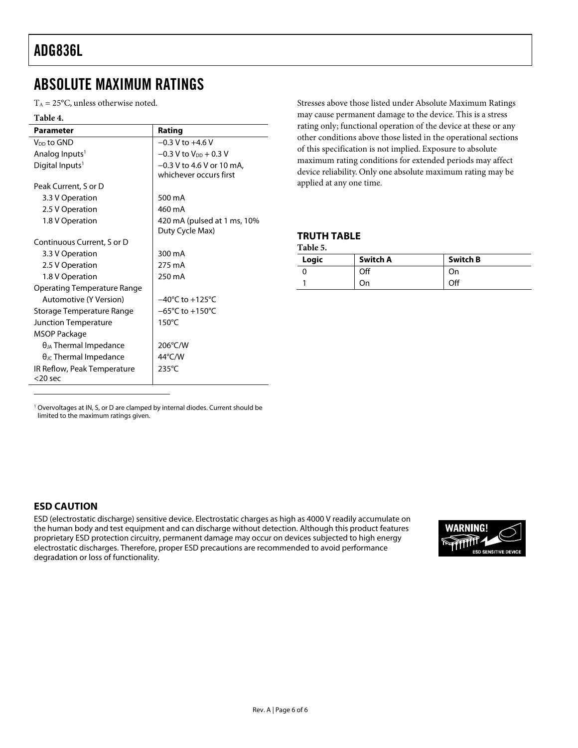#### <span id="page-5-0"></span>ABSOLUTE MAXIMUM RATINGS

 $T_A = 25$ °C, unless otherwise noted.

<span id="page-5-4"></span>

| Table 4.                                  |                                                       |
|-------------------------------------------|-------------------------------------------------------|
| <b>Parameter</b>                          | Rating                                                |
| V <sub>DD</sub> to GND                    | $-0.3$ V to $+4.6$ V                                  |
| Analog Inputs <sup>1</sup>                | $-0.3$ V to V <sub>DD</sub> $+0.3$ V                  |
| Digital Inputs <sup>1</sup>               | $-0.3$ V to 4.6 V or 10 mA,<br>whichever occurs first |
| Peak Current, S or D                      |                                                       |
| 3.3 V Operation                           | 500 mA                                                |
| 2.5 V Operation                           | 460 mA                                                |
| 1.8 V Operation                           | 420 mA (pulsed at 1 ms, 10%<br>Duty Cycle Max)        |
| Continuous Current, S or D                |                                                       |
| 3.3 V Operation                           | 300 mA                                                |
| 2.5 V Operation                           | 275 mA                                                |
| 1.8 V Operation                           | 250 mA                                                |
| Operating Temperature Range               |                                                       |
| Automotive (Y Version)                    | $-40^{\circ}$ C to $+125^{\circ}$ C                   |
| Storage Temperature Range                 | $-65^{\circ}$ C to $+150^{\circ}$ C                   |
| Junction Temperature                      | $150^{\circ}$ C                                       |
| MSOP Package                              |                                                       |
| $\theta_{JA}$ Thermal Impedance           | 206°C/W                                               |
| $\theta_{\text{JC}}$ Thermal Impedance    | $44^{\circ}$ C/W                                      |
| IR Reflow, Peak Temperature<br>$<$ 20 sec | $235^{\circ}$ C                                       |

Stresses above those listed under Absolute Maximum Ratings may cause permanent damage to the device. This is a stress rating only; functional operation of the device at these or any other conditions above those listed in the operational sections of this specification is not implied. Exposure to absolute maximum rating conditions for extended periods may affect device reliability. Only one absolute maximum rating may be applied at any one time.

#### **TRUTH TABLE**

| Logic | Switch A | <b>Switch B</b> |
|-------|----------|-----------------|
|       | Off      | On              |
|       | On       | Off             |

<span id="page-5-5"></span><sup>1</sup> Overvoltages at IN, S, or D are clamped by internal diodes. Current should be limited to the maximum ratings given.

#### **ESD CAUTION**

 $\overline{a}$ 

<span id="page-5-3"></span><span id="page-5-2"></span><span id="page-5-1"></span>ESD (electrostatic discharge) sensitive device. Electrostatic charges as high as 4000 V readily accumulate on the human body and test equipment and can discharge without detection. Although this product features proprietary ESD protection circuitry, permanent damage may occur on devices subjected to high energy electrostatic discharges. Therefore, proper ESD precautions are recommended to avoid performance degradation or loss of functionality.

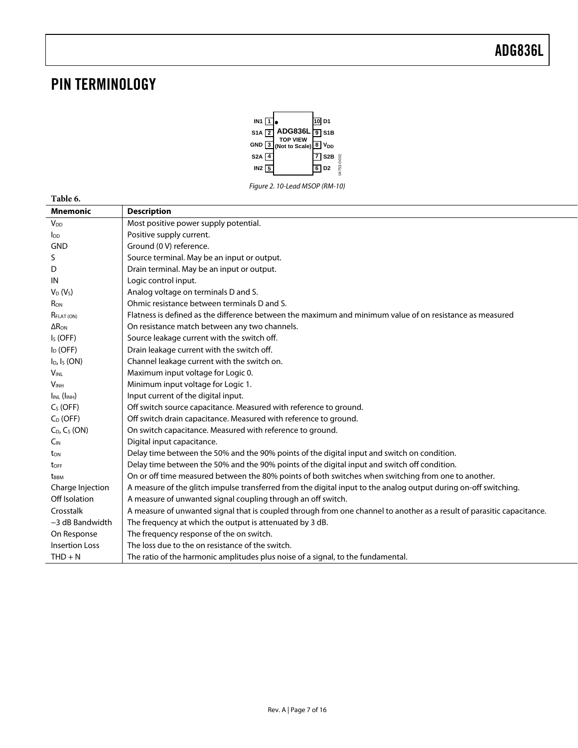### <span id="page-6-0"></span>PIN TERMINOLOGY



| Table 6.                 |                                                                                                                        |
|--------------------------|------------------------------------------------------------------------------------------------------------------------|
| <b>Mnemonic</b>          | <b>Description</b>                                                                                                     |
| $V_{DD}$                 | Most positive power supply potential.                                                                                  |
| $I_{DD}$                 | Positive supply current.                                                                                               |
| <b>GND</b>               | Ground (0 V) reference.                                                                                                |
| S                        | Source terminal. May be an input or output.                                                                            |
| D                        | Drain terminal. May be an input or output.                                                                             |
| IN                       | Logic control input.                                                                                                   |
| $V_D(V_S)$               | Analog voltage on terminals D and S.                                                                                   |
| R <sub>ON</sub>          | Ohmic resistance between terminals D and S.                                                                            |
| <b>RELAT (ON)</b>        | Flatness is defined as the difference between the maximum and minimum value of on resistance as measured               |
| $\Delta$ R <sub>ON</sub> | On resistance match between any two channels.                                                                          |
| $IS$ (OFF)               | Source leakage current with the switch off.                                                                            |
| $I_D$ (OFF)              | Drain leakage current with the switch off.                                                                             |
| $I_D$ , $I_S$ (ON)       | Channel leakage current with the switch on.                                                                            |
| $V_{\text{INI}}$         | Maximum input voltage for Logic 0.                                                                                     |
| <b>VINH</b>              | Minimum input voltage for Logic 1.                                                                                     |
| $I_{INL}$ ( $I_{INH}$ )  | Input current of the digital input.                                                                                    |
| $CS$ (OFF)               | Off switch source capacitance. Measured with reference to ground.                                                      |
| $C_D$ (OFF)              | Off switch drain capacitance. Measured with reference to ground.                                                       |
| $C_D$ , $C_S$ (ON)       | On switch capacitance. Measured with reference to ground.                                                              |
| $C_{IN}$                 | Digital input capacitance.                                                                                             |
| t <sub>on</sub>          | Delay time between the 50% and the 90% points of the digital input and switch on condition.                            |
| t <sub>OFF</sub>         | Delay time between the 50% and the 90% points of the digital input and switch off condition.                           |
| t <sub>BBM</sub>         | On or off time measured between the 80% points of both switches when switching from one to another.                    |
| Charge Injection         | A measure of the glitch impulse transferred from the digital input to the analog output during on-off switching.       |
| Off Isolation            | A measure of unwanted signal coupling through an off switch.                                                           |
| Crosstalk                | A measure of unwanted signal that is coupled through from one channel to another as a result of parasitic capacitance. |
| $-3$ dB Bandwidth        | The frequency at which the output is attenuated by 3 dB.                                                               |
| On Response              | The frequency response of the on switch.                                                                               |
| <b>Insertion Loss</b>    | The loss due to the on resistance of the switch.                                                                       |
| $THD + N$                | The ratio of the harmonic amplitudes plus noise of a signal, to the fundamental.                                       |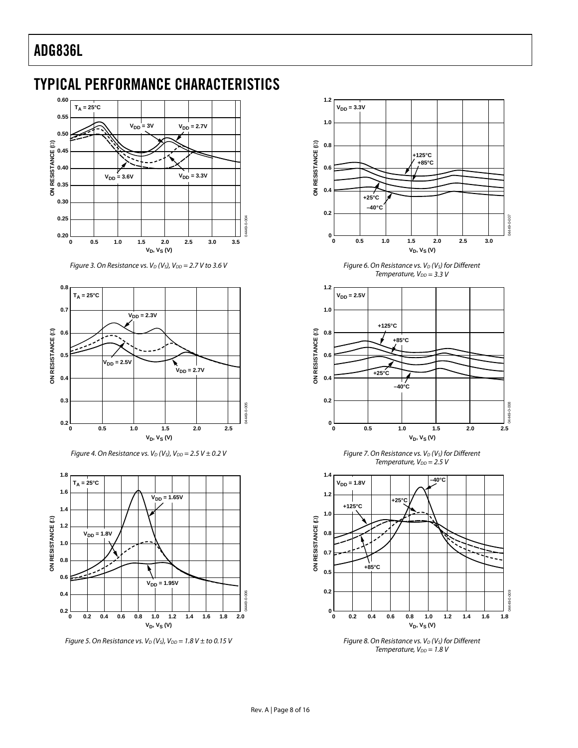#### <span id="page-7-0"></span>TYPICAL PERFORMANCE CHARACTERISTICS



Figure 3. On Resistance vs.  $V_D$  (V<sub>S</sub>),  $V_{DD}$  = 2.7 V to 3.6 V



Figure 4. On Resistance vs.  $V_D$  (V<sub>S</sub>), V<sub>DD</sub> = 2.5 V  $\pm$  0.2 V



Figure 5. On Resistance vs.  $V_D$  (V<sub>S</sub>), V<sub>DD</sub> = 1.8 V  $\pm$  to 0.15 V



Figure 6. On Resistance vs.  $V_D$  (V<sub>S</sub>) for Different Temperature,  $V_{DD} = 3.3 V$ 



Figure 7. On Resistance vs.  $V_D$  ( $V_S$ ) for Different Temperature,  $V_{DD} = 2.5 V$ 



Figure 8. On Resistance vs.  $V_D$  ( $V_S$ ) for Different Temperature,  $V_{DD} = 1.8$  V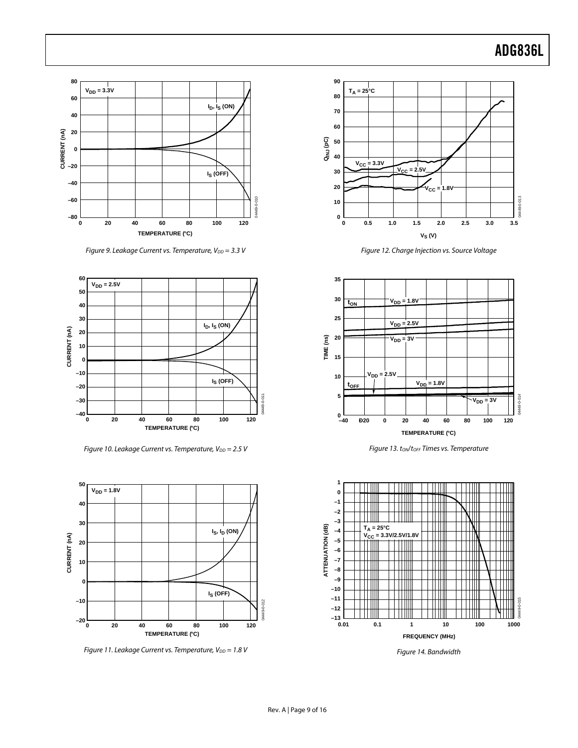

Figure 9. Leakage Current vs. Temperature,  $V_{DD} = 3.3$  V



Figure 10. Leakage Current vs. Temperature,  $V_{DD} = 2.5$  V



Figure 11. Leakage Current vs. Temperature,  $V_{DD} = 1.8$  V



Figure 12. Charge Injection vs. Source Voltage



Figure 13. ton/torf Times vs. Temperature



Figure 14. Bandwidth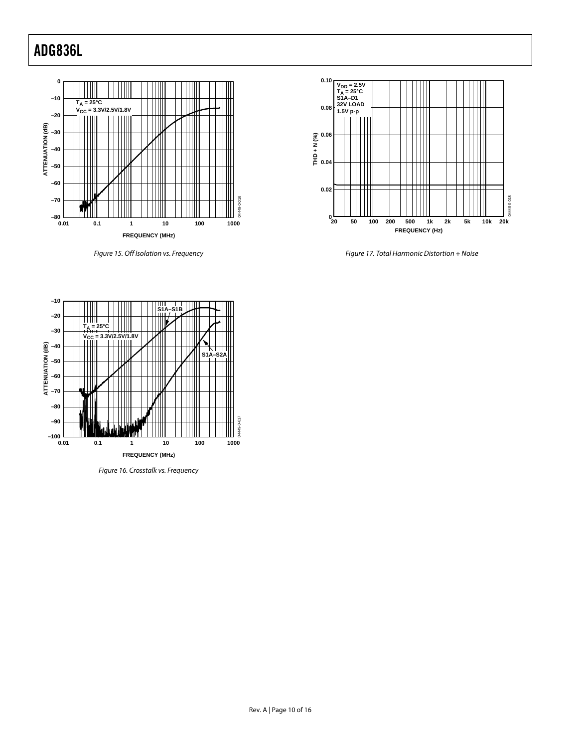

Figure 15. Off Isolation vs. Frequency



Figure 17. Total Harmonic Distortion + Noise



Figure 16. Crosstalk vs. Frequency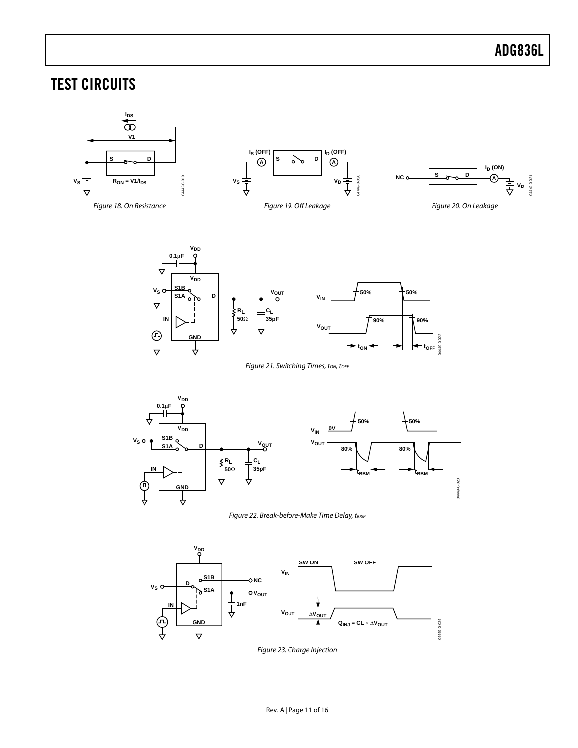<span id="page-10-3"></span>04449-0-022

 $t_{\text{ON}}$   $\leftarrow$   $\rightarrow$   $\leftarrow$   $t_{\text{OFF}}$ 

### <span id="page-10-0"></span>TEST CIRCUITS

<span id="page-10-1"></span>

<span id="page-10-5"></span>Figure 21. Switching Times, ton, torr

<span id="page-10-4"></span><span id="page-10-2"></span>╬



<span id="page-10-6"></span>



Figure 23. Charge Injection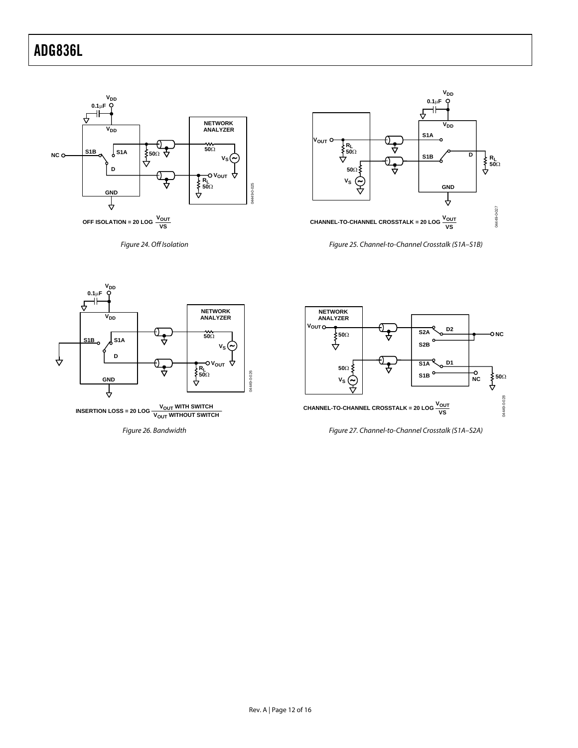<span id="page-11-0"></span>

<span id="page-11-2"></span>Figure 24. Off Isolation

<span id="page-11-3"></span>

<span id="page-11-1"></span>Figure 25. Channel-to-Channel Crosstalk (S1A–S1B)



Figure 26. Bandwidth



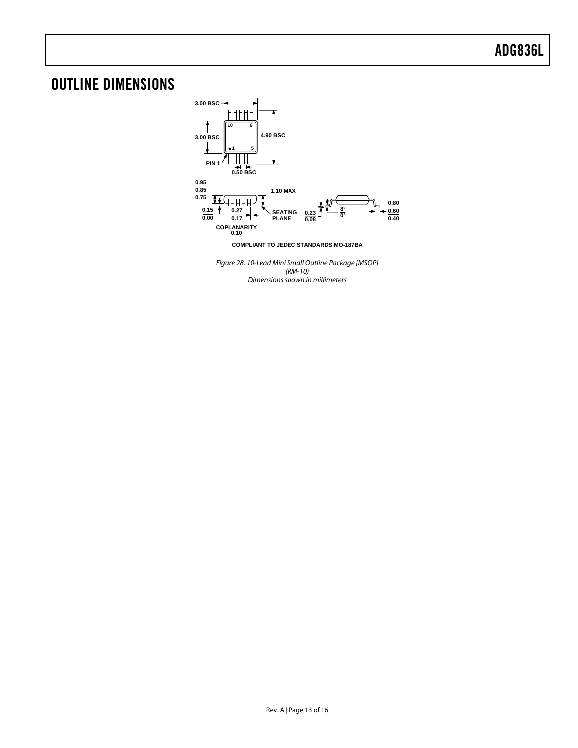### <span id="page-12-0"></span>OUTLINE DIMENSIONS



Figure 28. 10-Lead Mini Small Outline Package [MSOP] (RM-10) Dimensions shown in millimeters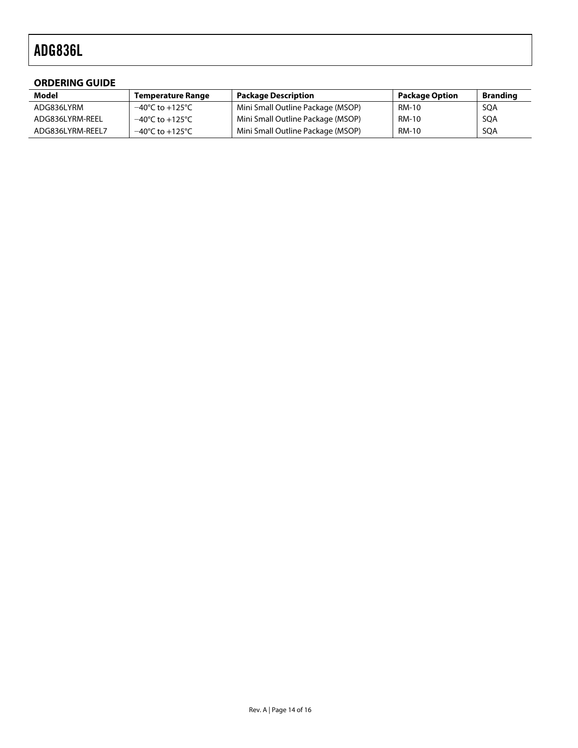#### <span id="page-13-0"></span>**ORDERING GUIDE**

| Model            | <b>Temperature Range</b> | <b>Package Description</b>        | <b>Package Option</b> | <b>Branding</b> |
|------------------|--------------------------|-----------------------------------|-----------------------|-----------------|
| ADG836LYRM       | −40°C to +125°C          | Mini Small Outline Package (MSOP) | RM-10                 | SQA             |
| ADG836LYRM-REEL  | −40°C to +125°C          | Mini Small Outline Package (MSOP) | <b>RM-10</b>          | SQA             |
| ADG836LYRM-REEL7 | −40°C to +125°C          | Mini Small Outline Package (MSOP) | <b>RM-10</b>          | SQA             |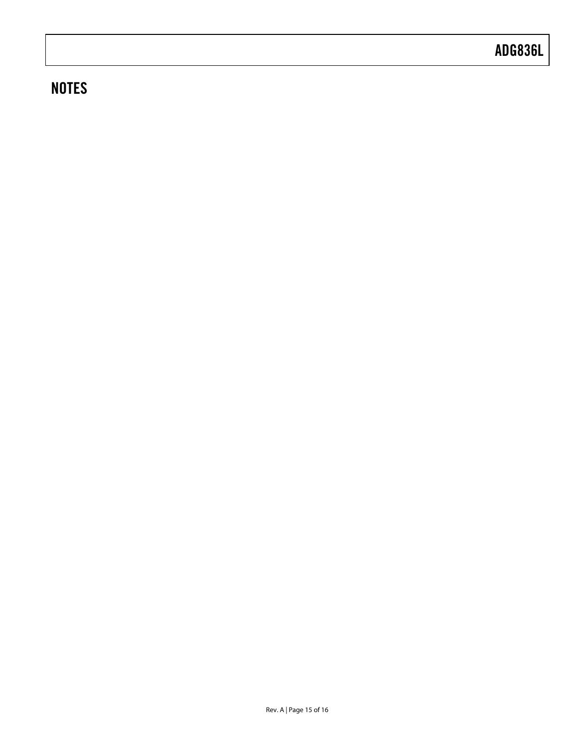### **NOTES**